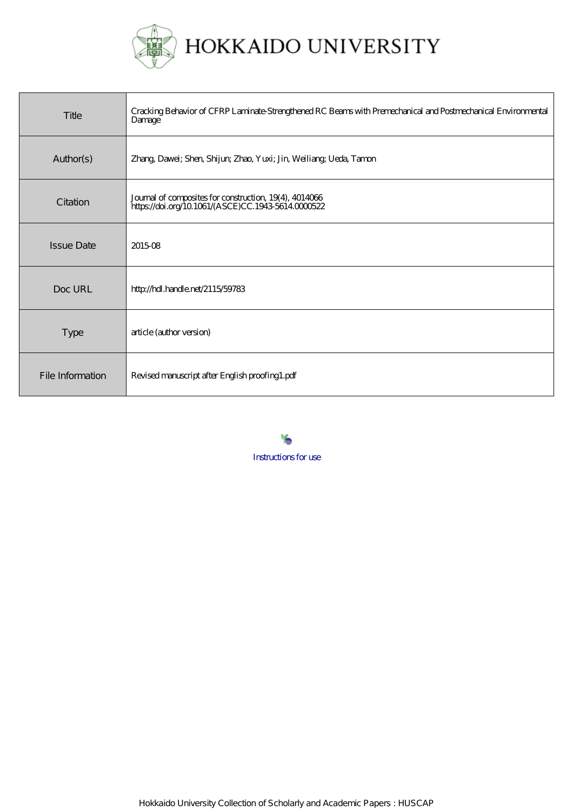

| Title             | Cracking Behavior of CFRP Laminate Strengthened RC Beams with Premechanical and Postmechanical Environmental<br>Damage |
|-------------------|------------------------------------------------------------------------------------------------------------------------|
| Author(s)         | Zhang, Dawei; Shen, Shijun; Zhao, Yuxi; Jin, Weiliang; Ueda, Tamon                                                     |
| Citation          | Journal of composites for construction, 19(4), 4014066<br>https://doi.org/10.1061/(ASCE)CC.1943-56140000522            |
| <b>Issue Date</b> | 201508                                                                                                                 |
| Doc URL           | http://hdl.handle.net/2115/59783                                                                                       |
| <b>Type</b>       | article (author version)                                                                                               |
| File Information  | Revised manuscript after English proofing1.pdf                                                                         |

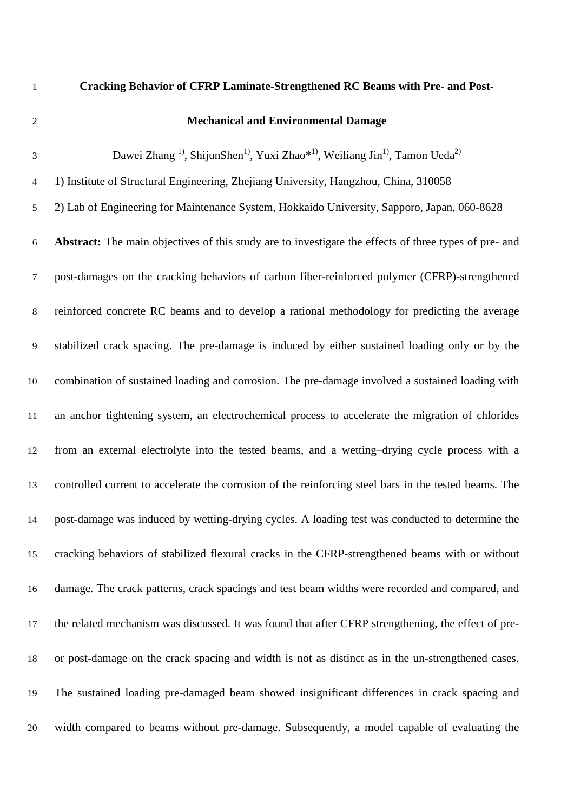# **Cracking Behavior of CFRP Laminate-Strengthened RC Beams with Pre- and Post-**

# **Mechanical and Environmental Damage**

 $D$ awei Zhang <sup>1)</sup>, ShijunShen<sup>1)</sup>, Yuxi Zhao<sup>\*1)</sup>, Weiliang Jin<sup>1</sup><sup>)</sup>, Tamon Ueda<sup>2)</sup> 1) Institute of Structural Engineering, Zhejiang University, Hangzhou, China, 310058 2) Lab of Engineering for Maintenance System, Hokkaido University, Sapporo, Japan, 060-8628 **Abstract:** The main objectives of this study are to investigate the effects of three types of pre- and post-damages on the cracking behaviors of carbon fiber-reinforced polymer (CFRP)-strengthened reinforced concrete RC beams and to develop a rational methodology for predicting the average stabilized crack spacing. The pre-damage is induced by either sustained loading only or by the combination of sustained loading and corrosion. The pre-damage involved a sustained loading with an anchor tightening system, an electrochemical process to accelerate the migration of chlorides from an external electrolyte into the tested beams, and a wetting–drying cycle process with a controlled current to accelerate the corrosion of the reinforcing steel bars in the tested beams. The post-damage was induced by wetting-drying cycles. A loading test was conducted to determine the cracking behaviors of stabilized flexural cracks in the CFRP-strengthened beams with or without damage. The crack patterns, crack spacings and test beam widths were recorded and compared, and the related mechanism was discussed. It was found that after CFRP strengthening, the effect of pre- or post-damage on the crack spacing and width is not as distinct as in the un-strengthened cases. The sustained loading pre-damaged beam showed insignificant differences in crack spacing and width compared to beams without pre-damage. Subsequently, a model capable of evaluating the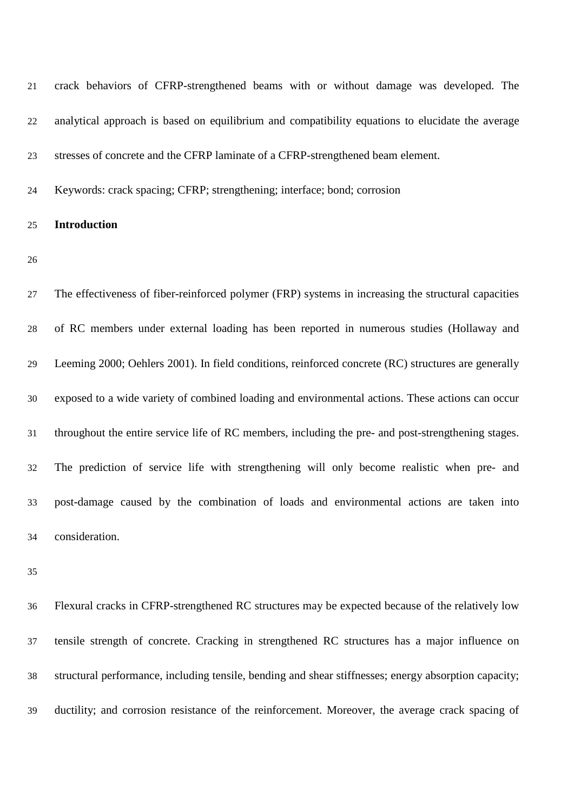| 21 | crack behaviors of CFRP-strengthened beams with or without damage was developed. The                |
|----|-----------------------------------------------------------------------------------------------------|
| 22 | analytical approach is based on equilibrium and compatibility equations to elucidate the average    |
| 23 | stresses of concrete and the CFRP laminate of a CFRP-strengthened beam element.                     |
| 24 | Keywords: crack spacing; CFRP; strengthening; interface; bond; corrosion                            |
| 25 | <b>Introduction</b>                                                                                 |
| 26 |                                                                                                     |
| 27 | The effectiveness of fiber-reinforced polymer (FRP) systems in increasing the structural capacities |
| 28 | of RC members under external loading has been reported in numerous studies (Hollaway and            |
| 29 | Leeming 2000; Oehlers 2001). In field conditions, reinforced concrete (RC) structures are generally |
| 30 | exposed to a wide variety of combined loading and environmental actions. These actions can occur    |
| 31 | throughout the entire service life of RC members, including the pre- and post-strengthening stages. |
| 32 | The prediction of service life with strengthening will only become realistic when pre- and          |
| 33 | post-damage caused by the combination of loads and environmental actions are taken into             |
| 34 | consideration.                                                                                      |

 Flexural cracks in CFRP-strengthened RC structures may be expected because of the relatively low tensile strength of concrete. Cracking in strengthened RC structures has a major influence on structural performance, including tensile, bending and shear stiffnesses; energy absorption capacity; ductility; and corrosion resistance of the reinforcement. Moreover, the average crack spacing of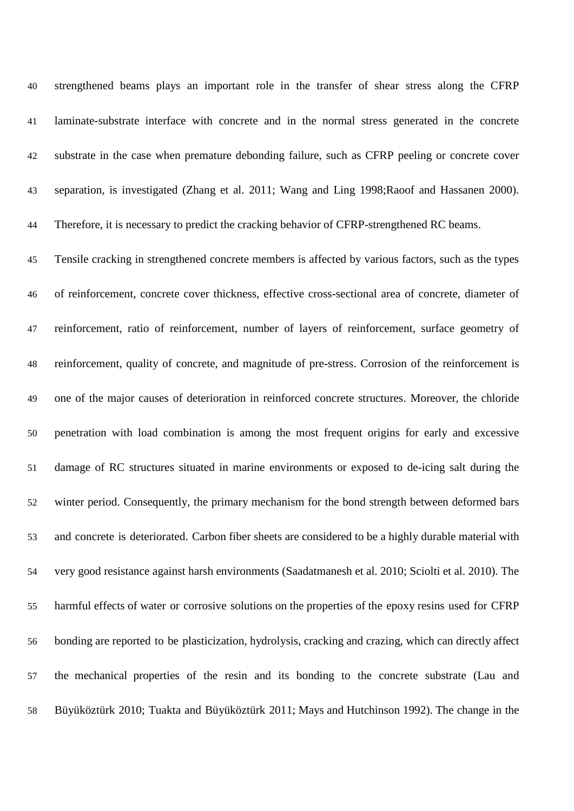strengthened beams plays an important role in the transfer of shear stress along the CFRP laminate-substrate interface with concrete and in the normal stress generated in the concrete substrate in the case when premature debonding failure, such as CFRP peeling or concrete cover separation, is investigated (Zhang et al. 2011; Wang and Ling 1998;Raoof and Hassanen 2000). 44 Therefore, it is necessary to predict the cracking behavior of CFRP-strengthened RC beams. Tensile cracking in strengthened concrete members is affected by various factors, such as the types of reinforcement, concrete cover thickness, effective cross-sectional area of concrete, diameter of reinforcement, ratio of reinforcement, number of layers of reinforcement, surface geometry of reinforcement, quality of concrete, and magnitude of pre-stress. Corrosion of the reinforcement is one of the major causes of deterioration in reinforced concrete structures. Moreover, the chloride penetration with load combination is among the most frequent origins for early and excessive damage of RC structures situated in marine environments or exposed to de-icing salt during the winter period. Consequently, the primary mechanism for the bond strength between deformed bars and concrete is deteriorated. Carbon fiber sheets are considered to be a highly durable material with very good resistance against harsh environments (Saadatmanesh et al. 2010; Sciolti et al. 2010). The harmful effects of water or corrosive solutions on the properties of the epoxy resins used for CFRP bonding are reported to be plasticization, hydrolysis, cracking and crazing, which can directly affect the mechanical properties of the resin and its bonding to the concrete substrate (Lau and Büyüköztürk 2010; Tuakta and Büyüköztürk 2011; Mays and Hutchinson 1992). The change in the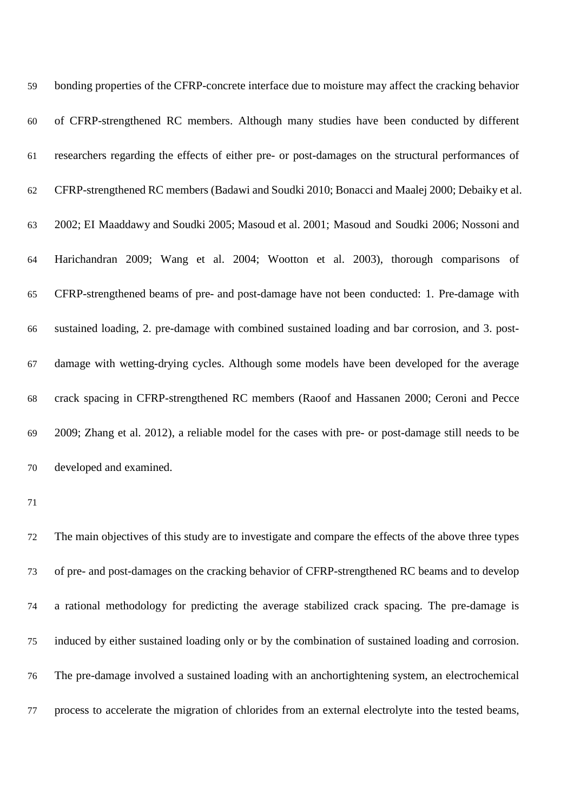| 59 | bonding properties of the CFRP-concrete interface due to moisture may affect the cracking behavior  |
|----|-----------------------------------------------------------------------------------------------------|
| 60 | of CFRP-strengthened RC members. Although many studies have been conducted by different             |
| 61 | researchers regarding the effects of either pre- or post-damages on the structural performances of  |
| 62 | CFRP-strengthened RC members (Badawi and Soudki 2010; Bonacci and Maalej 2000; Debaiky et al.       |
| 63 | 2002; EI Maaddawy and Soudki 2005; Masoud et al. 2001; Masoud and Soudki 2006; Nossoni and          |
| 64 | Harichandran 2009; Wang et al. 2004; Wootton et al. 2003), thorough comparisons of                  |
| 65 | CFRP-strengthened beams of pre- and post-damage have not been conducted: 1. Pre-damage with         |
| 66 | sustained loading, 2. pre-damage with combined sustained loading and bar corrosion, and 3. post-    |
| 67 | damage with wetting-drying cycles. Although some models have been developed for the average         |
| 68 | crack spacing in CFRP-strengthened RC members (Raoof and Hassanen 2000; Ceroni and Pecce            |
| 69 | 2009; Zhang et al. 2012), a reliable model for the cases with pre- or post-damage still needs to be |
| 70 | developed and examined.                                                                             |

 The main objectives of this study are to investigate and compare the effects of the above three types of pre- and post-damages on the cracking behavior of CFRP-strengthened RC beams and to develop a rational methodology for predicting the average stabilized crack spacing. The pre-damage is induced by either sustained loading only or by the combination of sustained loading and corrosion. The pre-damage involved a sustained loading with an anchortightening system, an electrochemical process to accelerate the migration of chlorides from an external electrolyte into the tested beams,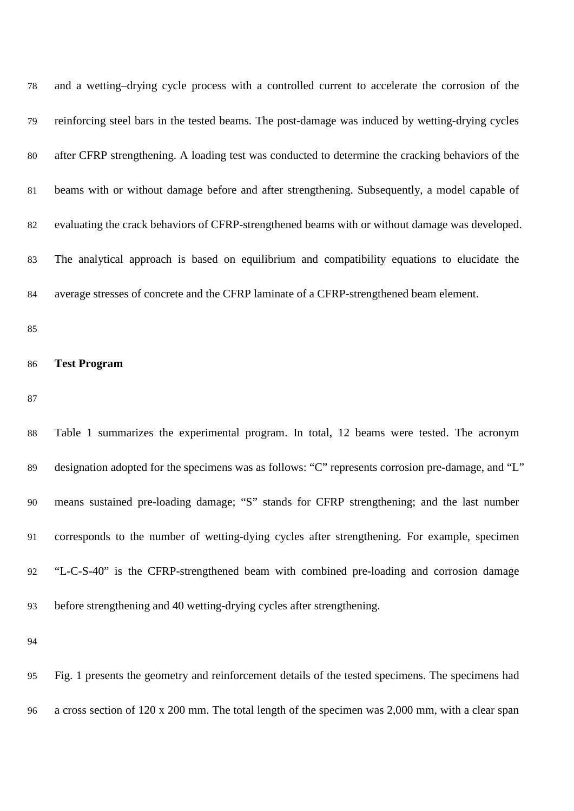| 78 | and a wetting-drying cycle process with a controlled current to accelerate the corrosion of the    |
|----|----------------------------------------------------------------------------------------------------|
| 79 | reinforcing steel bars in the tested beams. The post-damage was induced by wetting-drying cycles   |
| 80 | after CFRP strengthening. A loading test was conducted to determine the cracking behaviors of the  |
| 81 | beams with or without damage before and after strengthening. Subsequently, a model capable of      |
| 82 | evaluating the crack behaviors of CFRP-strengthened beams with or without damage was developed.    |
| 83 | The analytical approach is based on equilibrium and compatibility equations to elucidate the       |
| 84 | average stresses of concrete and the CFRP laminate of a CFRP-strengthened beam element.            |
| 85 |                                                                                                    |
| 86 | <b>Test Program</b>                                                                                |
| 87 |                                                                                                    |
| 88 | Table 1 summarizes the experimental program. In total, 12 beams were tested. The acronym           |
| 89 | designation adopted for the specimens was as follows: "C" represents corrosion pre-damage, and "L" |
| 90 | means sustained pre-loading damage; "S" stands for CFRP strengthening; and the last number         |
| 91 | corresponds to the number of wetting-dying cycles after strengthening. For example, specimen       |
| 92 | "L-C-S-40" is the CFRP-strengthened beam with combined pre-loading and corrosion damage            |
| 93 | before strengthening and 40 wetting-drying cycles after strengthening.                             |
| 94 |                                                                                                    |
| 95 | Fig. 1 presents the geometry and reinforcement details of the tested specimens. The specimens had  |

a cross section of 120 x 200 mm. The total length of the specimen was 2,000 mm, with a clear span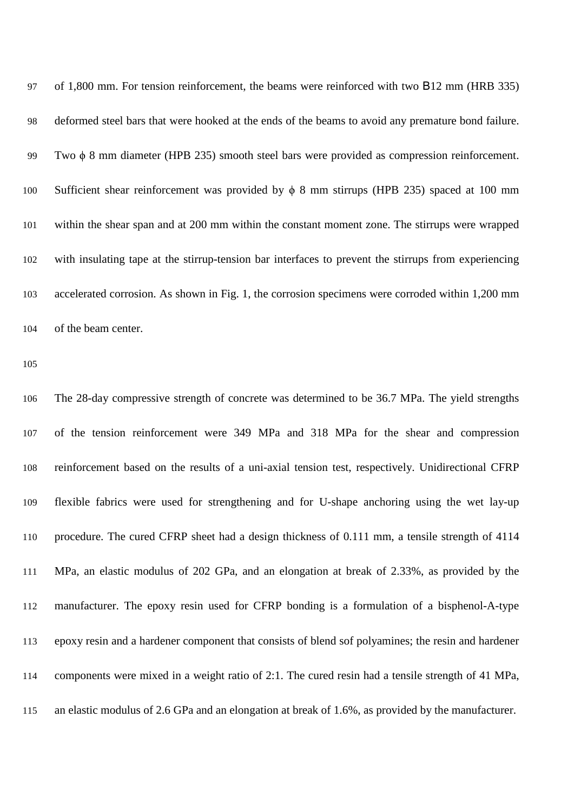| 97  | of 1,800 mm. For tension reinforcement, the beams were reinforced with two B12 mm (HRB 335)          |
|-----|------------------------------------------------------------------------------------------------------|
| 98  | deformed steel bars that were hooked at the ends of the beams to avoid any premature bond failure.   |
| 99  | Two $\phi$ 8 mm diameter (HPB 235) smooth steel bars were provided as compression reinforcement.     |
| 100 | Sufficient shear reinforcement was provided by $\phi$ 8 mm stirrups (HPB 235) spaced at 100 mm       |
| 101 | within the shear span and at 200 mm within the constant moment zone. The stirrups were wrapped       |
| 102 | with insulating tape at the stirrup-tension bar interfaces to prevent the stirrups from experiencing |
| 103 | accelerated corrosion. As shown in Fig. 1, the corrosion specimens were corroded within 1,200 mm     |
| 104 | of the beam center.                                                                                  |

 The 28-day compressive strength of concrete was determined to be 36.7 MPa. The yield strengths of the tension reinforcement were 349 MPa and 318 MPa for the shear and compression reinforcement based on the results of a uni-axial tension test, respectively. Unidirectional CFRP flexible fabrics were used for strengthening and for U-shape anchoring using the wet lay-up procedure. The cured CFRP sheet had a design thickness of 0.111 mm, a tensile strength of 4114 MPa, an elastic modulus of 202 GPa, and an elongation at break of 2.33%, as provided by the manufacturer. The epoxy resin used for CFRP bonding is a formulation of a bisphenol-A-type epoxy resin and a hardener component that consists of blend sof polyamines; the resin and hardener components were mixed in a weight ratio of 2:1. The cured resin had a tensile strength of 41 MPa, an elastic modulus of 2.6 GPa and an elongation at break of 1.6%, as provided by the manufacturer.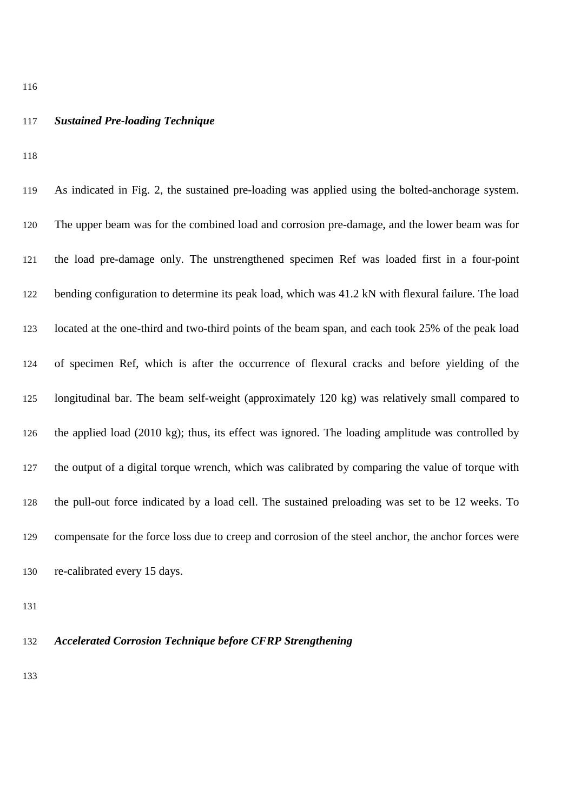#### *Sustained Pre-loading Technique*

 As indicated in Fig. 2, the sustained pre-loading was applied using the bolted-anchorage system. The upper beam was for the combined load and corrosion pre-damage, and the lower beam was for the load pre-damage only. The unstrengthened specimen Ref was loaded first in a four-point bending configuration to determine its peak load, which was 41.2 kN with flexural failure. The load located at the one-third and two-third points of the beam span, and each took 25% of the peak load of specimen Ref, which is after the occurrence of flexural cracks and before yielding of the longitudinal bar. The beam self-weight (approximately 120 kg) was relatively small compared to the applied load (2010 kg); thus, its effect was ignored. The loading amplitude was controlled by the output of a digital torque wrench, which was calibrated by comparing the value of torque with the pull-out force indicated by a load cell. The sustained preloading was set to be 12 weeks. To compensate for the force loss due to creep and corrosion of the steel anchor, the anchor forces were re-calibrated every 15 days.

## *Accelerated Corrosion Technique before CFRP Strengthening*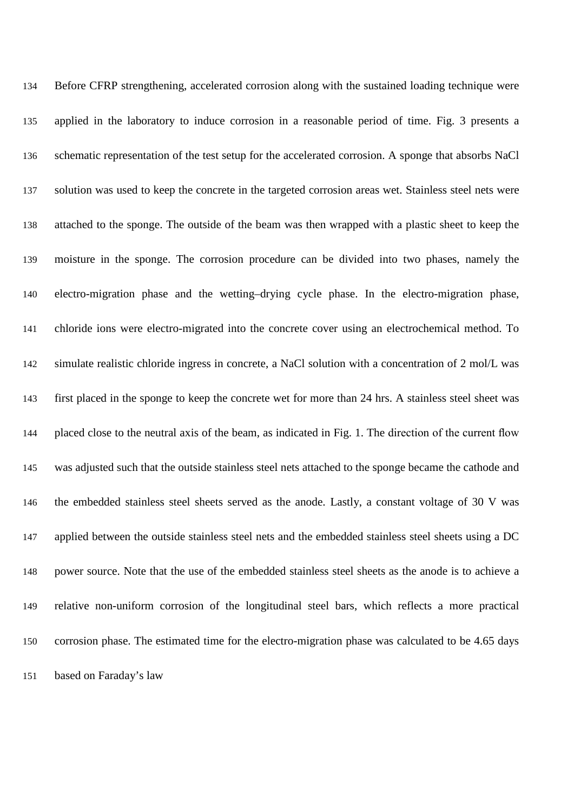Before CFRP strengthening, accelerated corrosion along with the sustained loading technique were applied in the laboratory to induce corrosion in a reasonable period of time. Fig. 3 presents a schematic representation of the test setup for the accelerated corrosion. A sponge that absorbs NaCl solution was used to keep the concrete in the targeted corrosion areas wet. Stainless steel nets were attached to the sponge. The outside of the beam was then wrapped with a plastic sheet to keep the moisture in the sponge. The corrosion procedure can be divided into two phases, namely the electro-migration phase and the wetting–drying cycle phase. In the electro-migration phase, chloride ions were electro-migrated into the concrete cover using an electrochemical method. To simulate realistic chloride ingress in concrete, a NaCl solution with a concentration of 2 mol/L was first placed in the sponge to keep the concrete wet for more than 24 hrs. A stainless steel sheet was placed close to the neutral axis of the beam, as indicated in Fig. 1. The direction of the current flow was adjusted such that the outside stainless steel nets attached to the sponge became the cathode and the embedded stainless steel sheets served as the anode. Lastly, a constant voltage of 30 V was applied between the outside stainless steel nets and the embedded stainless steel sheets using a DC power source. Note that the use of the embedded stainless steel sheets as the anode is to achieve a relative non-uniform corrosion of the longitudinal steel bars, which reflects a more practical corrosion phase. The estimated time for the electro-migration phase was calculated to be 4.65 days based on Faraday's law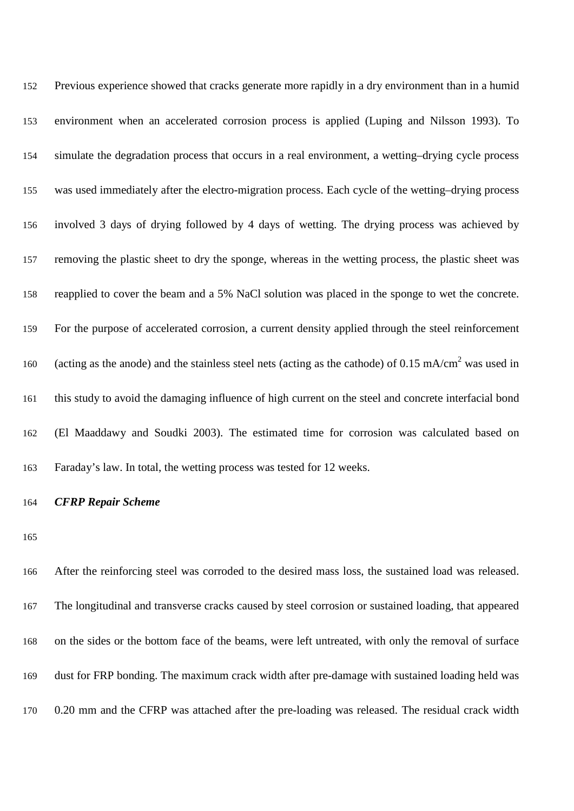| 152 | Previous experience showed that cracks generate more rapidly in a dry environment than in a humid                 |
|-----|-------------------------------------------------------------------------------------------------------------------|
| 153 | environment when an accelerated corrosion process is applied (Luping and Nilsson 1993). To                        |
| 154 | simulate the degradation process that occurs in a real environment, a wetting-drying cycle process                |
| 155 | was used immediately after the electro-migration process. Each cycle of the wetting-drying process                |
| 156 | involved 3 days of drying followed by 4 days of wetting. The drying process was achieved by                       |
| 157 | removing the plastic sheet to dry the sponge, whereas in the wetting process, the plastic sheet was               |
| 158 | reapplied to cover the beam and a 5% NaCl solution was placed in the sponge to wet the concrete.                  |
| 159 | For the purpose of accelerated corrosion, a current density applied through the steel reinforcement               |
| 160 | (acting as the anode) and the stainless steel nets (acting as the cathode) of 0.15 mA/cm <sup>2</sup> was used in |
| 161 | this study to avoid the damaging influence of high current on the steel and concrete interfacial bond             |
| 162 | (El Maaddawy and Soudki 2003). The estimated time for corrosion was calculated based on                           |
| 163 | Faraday's law. In total, the wetting process was tested for 12 weeks.                                             |

# *CFRP Repair Scheme*

 After the reinforcing steel was corroded to the desired mass loss, the sustained load was released. The longitudinal and transverse cracks caused by steel corrosion or sustained loading, that appeared on the sides or the bottom face of the beams, were left untreated, with only the removal of surface dust for FRP bonding. The maximum crack width after pre-damage with sustained loading held was 0.20 mm and the CFRP was attached after the pre-loading was released. The residual crack width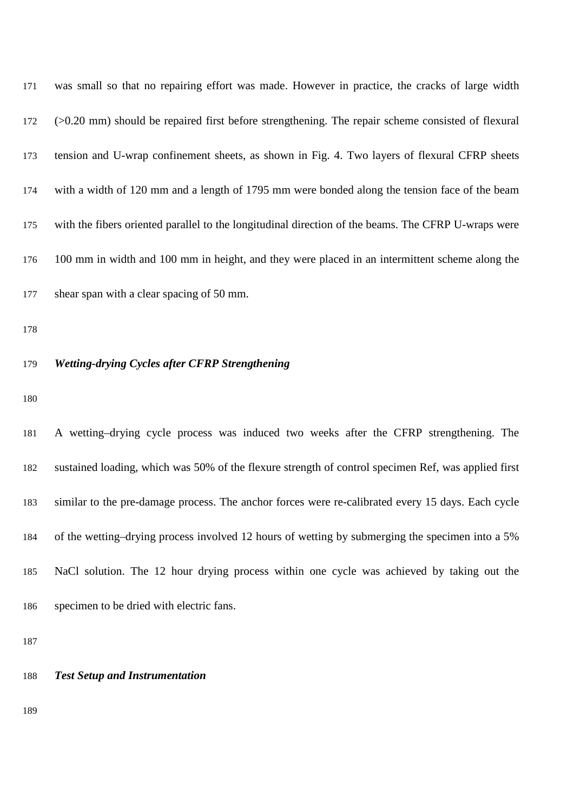| 171 | was small so that no repairing effort was made. However in practice, the cracks of large width      |
|-----|-----------------------------------------------------------------------------------------------------|
| 172 | $(0.20$ mm) should be repaired first before strengthening. The repair scheme consisted of flexural  |
| 173 | tension and U-wrap confinement sheets, as shown in Fig. 4. Two layers of flexural CFRP sheets       |
| 174 | with a width of 120 mm and a length of 1795 mm were bonded along the tension face of the beam       |
| 175 | with the fibers oriented parallel to the longitudinal direction of the beams. The CFRP U-wraps were |
| 176 | 100 mm in width and 100 mm in height, and they were placed in an intermittent scheme along the      |
| 177 | shear span with a clear spacing of 50 mm.                                                           |

# *Wetting-drying Cycles after CFRP Strengthening*

 A wetting–drying cycle process was induced two weeks after the CFRP strengthening. The sustained loading, which was 50% of the flexure strength of control specimen Ref, was applied first similar to the pre-damage process. The anchor forces were re-calibrated every 15 days. Each cycle of the wetting–drying process involved 12 hours of wetting by submerging the specimen into a 5% NaCl solution. The 12 hour drying process within one cycle was achieved by taking out the specimen to be dried with electric fans.

| 188 |  |  | <b>Test Setup and Instrumentation</b> |
|-----|--|--|---------------------------------------|
|-----|--|--|---------------------------------------|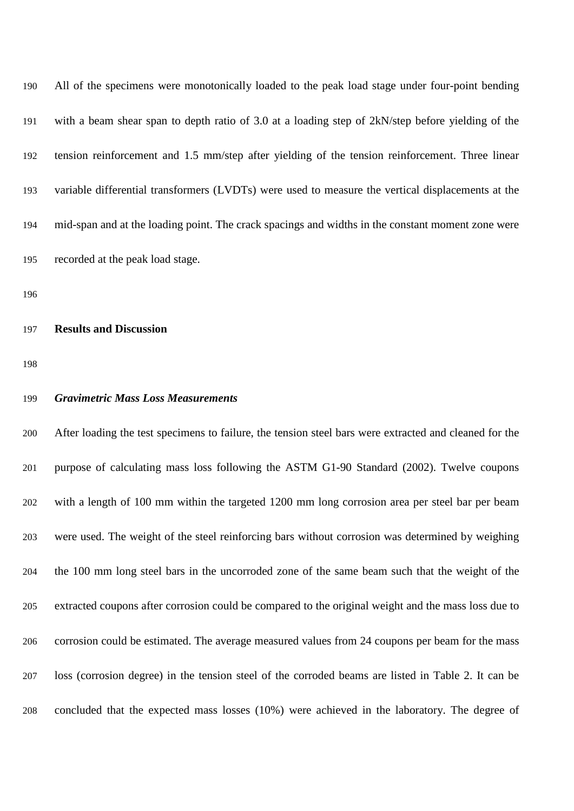| 190 | All of the specimens were monotonically loaded to the peak load stage under four-point bending    |
|-----|---------------------------------------------------------------------------------------------------|
| 191 | with a beam shear span to depth ratio of 3.0 at a loading step of 2kN/step before yielding of the |
| 192 | tension reinforcement and 1.5 mm/step after yielding of the tension reinforcement. Three linear   |
| 193 | variable differential transformers (LVDTs) were used to measure the vertical displacements at the |
| 194 | mid-span and at the loading point. The crack spacings and widths in the constant moment zone were |
| 195 | recorded at the peak load stage.                                                                  |

#### **Results and Discussion**

### *Gravimetric Mass Loss Measurements*

 After loading the test specimens to failure, the tension steel bars were extracted and cleaned for the purpose of calculating mass loss following the ASTM G1-90 Standard (2002). Twelve coupons with a length of 100 mm within the targeted 1200 mm long corrosion area per steel bar per beam were used. The weight of the steel reinforcing bars without corrosion was determined by weighing the 100 mm long steel bars in the uncorroded zone of the same beam such that the weight of the extracted coupons after corrosion could be compared to the original weight and the mass loss due to corrosion could be estimated. The average measured values from 24 coupons per beam for the mass loss (corrosion degree) in the tension steel of the corroded beams are listed in Table 2. It can be concluded that the expected mass losses (10%) were achieved in the laboratory. The degree of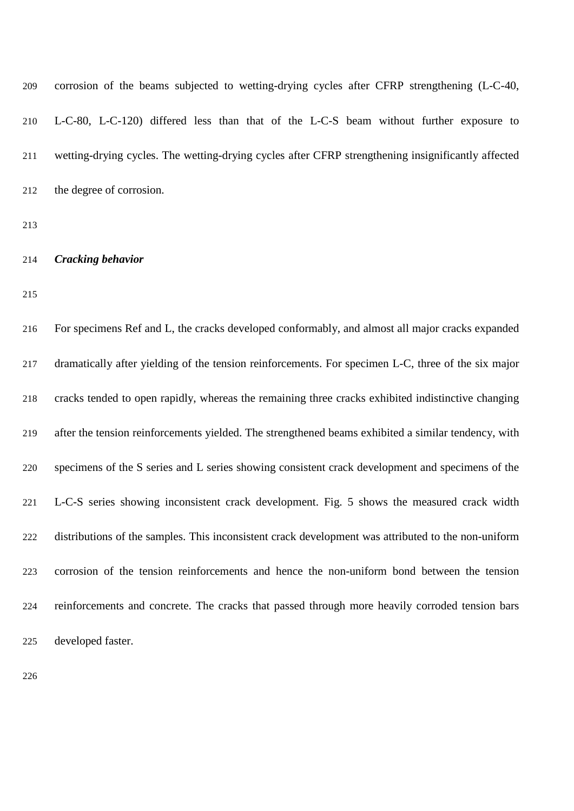| 209 | corrosion of the beams subjected to wetting-drying cycles after CFRP strengthening (L-C-40,         |
|-----|-----------------------------------------------------------------------------------------------------|
| 210 | L-C-80, L-C-120) differed less than that of the L-C-S beam without further exposure to              |
| 211 | wetting-drying cycles. The wetting-drying cycles after CFRP strengthening insignificantly affected  |
| 212 | the degree of corrosion.                                                                            |
| 213 |                                                                                                     |
| 214 | <b>Cracking behavior</b>                                                                            |
| 215 |                                                                                                     |
| 216 | For specimens Ref and L, the cracks developed conformably, and almost all major cracks expanded     |
| 217 | dramatically after yielding of the tension reinforcements. For specimen L-C, three of the six major |
| 218 | cracks tended to open rapidly, whereas the remaining three cracks exhibited indistinctive changing  |
| 219 | after the tension reinforcements yielded. The strengthened beams exhibited a similar tendency, with |
| 220 | specimens of the S series and L series showing consistent crack development and specimens of the    |
| 221 | L-C-S series showing inconsistent crack development. Fig. 5 shows the measured crack width          |
| 222 | distributions of the samples. This inconsistent crack development was attributed to the non-uniform |
| 223 | corrosion of the tension reinforcements and hence the non-uniform bond between the tension          |
| 224 | reinforcements and concrete. The cracks that passed through more heavily corroded tension bars      |
| 225 | developed faster.                                                                                   |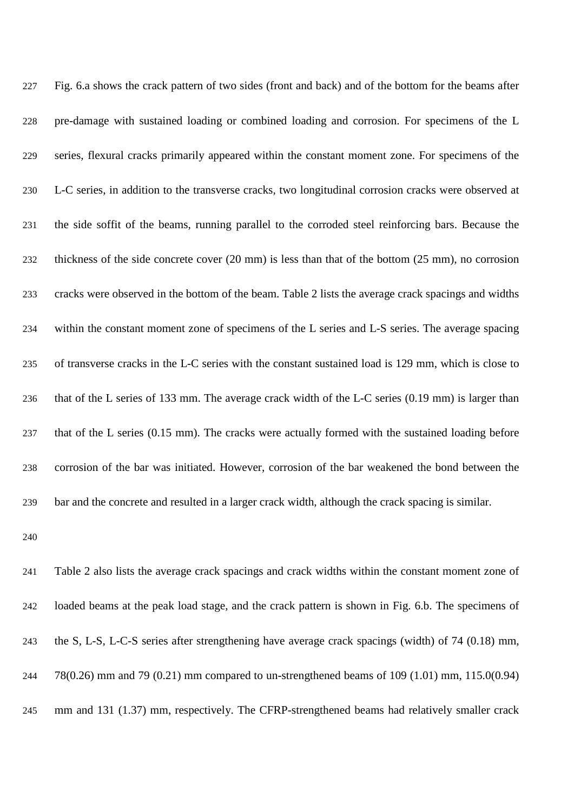| 227 | Fig. 6.a shows the crack pattern of two sides (front and back) and of the bottom for the beams after                    |
|-----|-------------------------------------------------------------------------------------------------------------------------|
| 228 | pre-damage with sustained loading or combined loading and corrosion. For specimens of the L                             |
| 229 | series, flexural cracks primarily appeared within the constant moment zone. For specimens of the                        |
| 230 | L-C series, in addition to the transverse cracks, two longitudinal corrosion cracks were observed at                    |
| 231 | the side soffit of the beams, running parallel to the corroded steel reinforcing bars. Because the                      |
| 232 | thickness of the side concrete cover $(20 \text{ mm})$ is less than that of the bottom $(25 \text{ mm})$ , no corrosion |
| 233 | cracks were observed in the bottom of the beam. Table 2 lists the average crack spacings and widths                     |
| 234 | within the constant moment zone of specimens of the L series and L-S series. The average spacing                        |
| 235 | of transverse cracks in the L-C series with the constant sustained load is 129 mm, which is close to                    |
| 236 | that of the L series of 133 mm. The average crack width of the L-C series (0.19 mm) is larger than                      |
| 237 | that of the L series (0.15 mm). The cracks were actually formed with the sustained loading before                       |
| 238 | corrosion of the bar was initiated. However, corrosion of the bar weakened the bond between the                         |
| 239 | bar and the concrete and resulted in a larger crack width, although the crack spacing is similar.                       |

 Table 2 also lists the average crack spacings and crack widths within the constant moment zone of loaded beams at the peak load stage, and the crack pattern is shown in Fig. 6.b. The specimens of the S, L-S, L-C-S series after strengthening have average crack spacings (width) of 74 (0.18) mm, 78(0.26) mm and 79 (0.21) mm compared to un-strengthened beams of 109 (1.01) mm, 115.0(0.94) mm and 131 (1.37) mm, respectively. The CFRP-strengthened beams had relatively smaller crack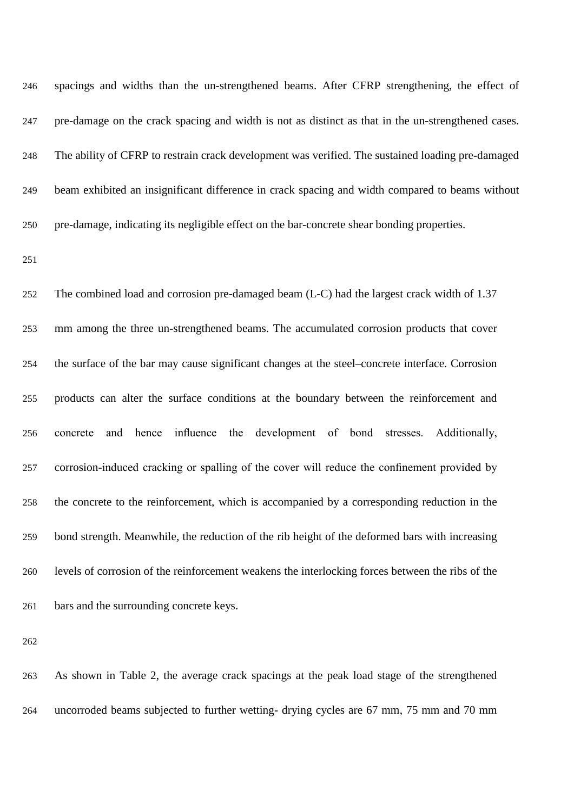| 246 | spacings and widths than the un-strengthened beams. After CFRP strengthening, the effect of        |
|-----|----------------------------------------------------------------------------------------------------|
| 247 | pre-damage on the crack spacing and width is not as distinct as that in the un-strengthened cases. |
| 248 | The ability of CFRP to restrain crack development was verified. The sustained loading pre-damaged  |
| 249 | beam exhibited an insignificant difference in crack spacing and width compared to beams without    |
| 250 | pre-damage, indicating its negligible effect on the bar-concrete shear bonding properties.         |

 The combined load and corrosion pre-damaged beam (L-C) had the largest crack width of 1.37 mm among the three un-strengthened beams. The accumulated corrosion products that cover the surface of the bar may cause significant changes at the steel–concrete interface. Corrosion products can alter the surface conditions at the boundary between the reinforcement and concrete and hence influence the development of bond stresses. Additionally, corrosion-induced cracking or spalling of the cover will reduce the confinement provided by the concrete to the reinforcement, which is accompanied by a corresponding reduction in the bond strength. Meanwhile, the reduction of the rib height of the deformed bars with increasing levels of corrosion of the reinforcement weakens the interlocking forces between the ribs of the bars and the surrounding concrete keys.

 As shown in Table 2, the average crack spacings at the peak load stage of the strengthened uncorroded beams subjected to further wetting- drying cycles are 67 mm, 75 mm and 70 mm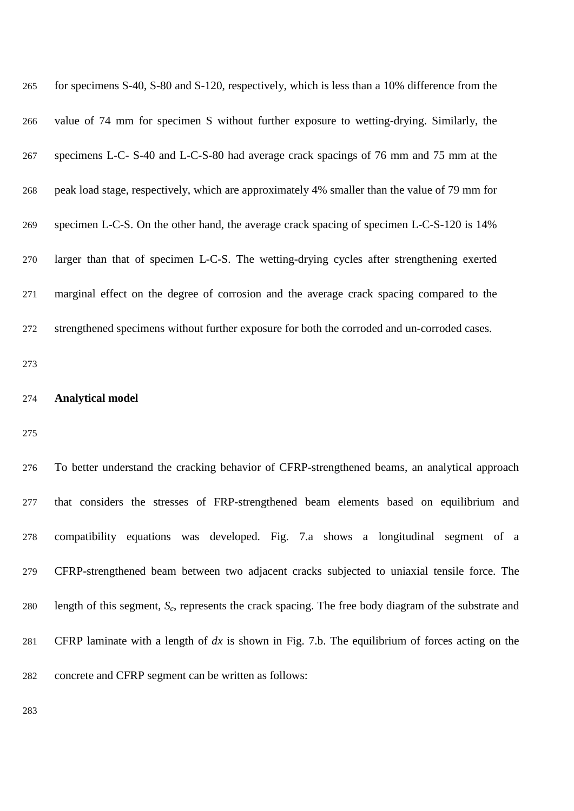| 265 | for specimens S-40, S-80 and S-120, respectively, which is less than a 10% difference from the |
|-----|------------------------------------------------------------------------------------------------|
| 266 | value of 74 mm for specimen S without further exposure to wetting-drying. Similarly, the       |
| 267 | specimens L-C- S-40 and L-C-S-80 had average crack spacings of 76 mm and 75 mm at the          |
| 268 | peak load stage, respectively, which are approximately 4% smaller than the value of 79 mm for  |
| 269 | specimen L-C-S. On the other hand, the average crack spacing of specimen L-C-S-120 is 14%      |
| 270 | larger than that of specimen L-C-S. The wetting-drying cycles after strengthening exerted      |
| 271 | marginal effect on the degree of corrosion and the average crack spacing compared to the       |
| 272 | strengthened specimens without further exposure for both the corroded and un-corroded cases.   |
| 273 |                                                                                                |
| 274 | <b>Analytical model</b>                                                                        |
| 275 |                                                                                                |
| 276 | To better understand the cracking behavior of CFRP-strengthened beams, an analytical approach  |
| 277 | that considers the stresses of FRP-strengthened beam elements based on equilibrium and         |
| 278 | compatibility equations was developed. Fig. 7.a shows a longitudinal segment of a              |
|     |                                                                                                |

CFRP-strengthened beam between two adjacent cracks subjected to uniaxial tensile force. The

length of this segment, *Sc*, represents the crack spacing. The free body diagram of the substrate and

CFRP laminate with a length of *dx* is shown in Fig. 7.b. The equilibrium of forces acting on the

concrete and CFRP segment can be written as follows: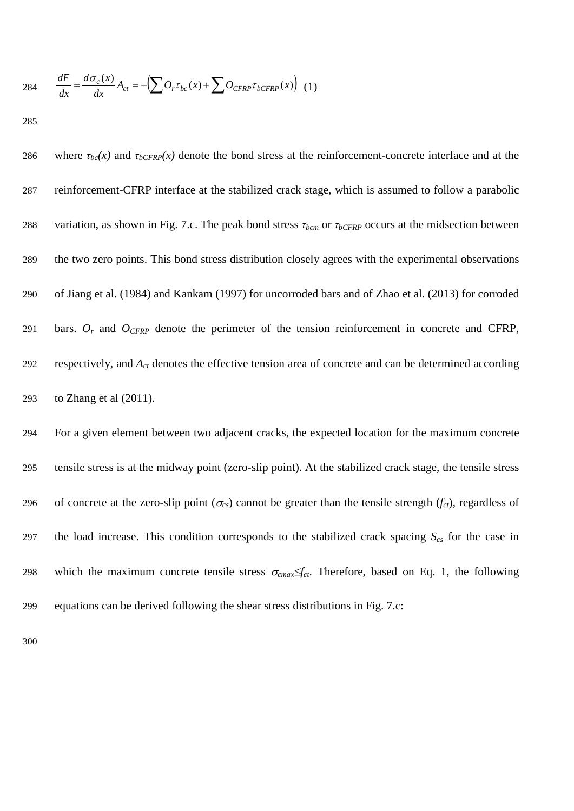284 
$$
\frac{dF}{dx} = \frac{d\sigma_c(x)}{dx} A_{ct} = -\left(\sum O_r \tau_{bc}(x) + \sum O_{CFRP} \tau_{bCFRP}(x)\right)
$$
 (1)

286 where  $\tau_{bc}(x)$  and  $\tau_{bCFRP}(x)$  denote the bond stress at the reinforcement-concrete interface and at the 287 reinforcement-CFRP interface at the stabilized crack stage, which is assumed to follow a parabolic 288 variation, as shown in Fig. 7.c. The peak bond stress *τbcm* or *τbCFRP* occurs at the midsection between 289 the two zero points. This bond stress distribution closely agrees with the experimental observations 290 of Jiang et al. (1984) and Kankam (1997) for uncorroded bars and of Zhao et al. (2013) for corroded 291 bars.  $O_r$  and  $O_{CFRP}$  denote the perimeter of the tension reinforcement in concrete and CFRP, 292 respectively, and *Act* denotes the effective tension area of concrete and can be determined according 293 to Zhang et al (2011). 294 For a given element between two adjacent cracks, the expected location for the maximum concrete 295 tensile stress is at the midway point (zero-slip point). At the stabilized crack stage, the tensile stress 296 of concrete at the zero-slip point  $(\sigma_{cs})$  cannot be greater than the tensile strength  $(f_{ct})$ , regardless of 297 the load increase. This condition corresponds to the stabilized crack spacing  $S_{cs}$  for the case in 298 which the maximum concrete tensile stress  $\sigma_{cmax} \leq f_{ct}$ . Therefore, based on Eq. 1, the following

299 equations can be derived following the shear stress distributions in Fig. 7.c: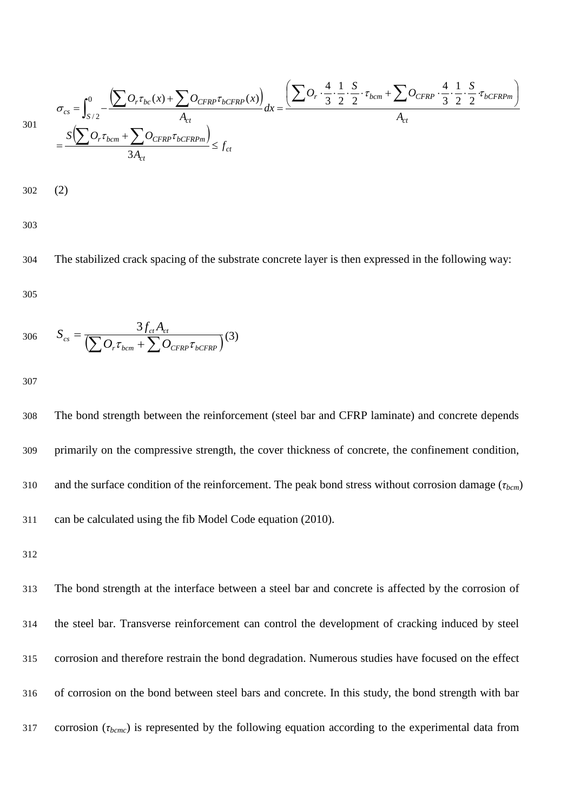$$
\sigma_{cs} = \int_{S/2}^{0} \frac{\left(\sum O_r \tau_{bc}(x) + \sum O_{CFRP} \tau_{bCFRP}(x)\right)}{A_{ct}} dx = \frac{\left(\sum O_r \cdot \frac{4}{3} \cdot \frac{1}{2} \cdot \frac{S}{2} \cdot \tau_{bcm} + \sum O_{CFRP} \cdot \frac{4}{3} \cdot \frac{1}{2} \cdot \frac{S}{2} \cdot \tau_{bCFRPm}\right)}{A_{ct}}
$$
\n
$$
= \frac{S\left(\sum O_r \tau_{bcm} + \sum O_{CFRP} \tau_{bCFRPm}\right)}{3A_{ct}} \le f_{ct}
$$

302 (2)

303

304 The stabilized crack spacing of the substrate concrete layer is then expressed in the following way: 305

306 
$$
S_{cs} = \frac{3f_{ct}A_{ct}}{\left(\sum O_{r}\tau_{bcm} + \sum O_{CFRP}\tau_{bCFRP}\right)}(3)
$$

307

 The bond strength between the reinforcement (steel bar and CFRP laminate) and concrete depends primarily on the compressive strength, the cover thickness of concrete, the confinement condition, and the surface condition of the reinforcement. The peak bond stress without corrosion damage (*τbcm*) can be calculated using the fib Model Code equation (2010).

312

 The bond strength at the interface between a steel bar and concrete is affected by the corrosion of the steel bar. Transverse reinforcement can control the development of cracking induced by steel corrosion and therefore restrain the bond degradation. Numerous studies have focused on the effect of corrosion on the bond between steel bars and concrete. In this study, the bond strength with bar corrosion (*τbcmc*) is represented by the following equation according to the experimental data from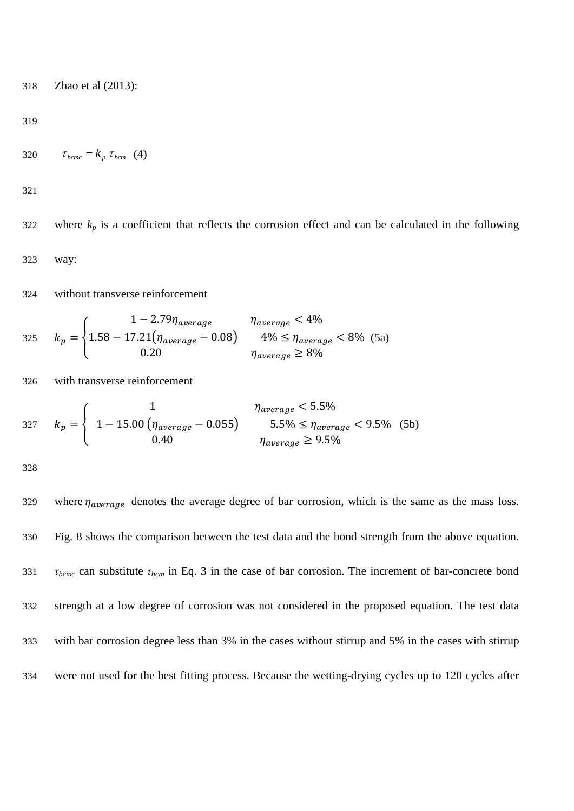Zhao et al (2013):

$$
320 \qquad \tau_{bcmc} = k_p \tau_{bcm} \quad (4)
$$

322 where  $k_p$  is a coefficient that reflects the corrosion effect and can be calculated in the following way:

without transverse reinforcement

325 
$$
k_p = \begin{cases} 1 - 2.79 \eta_{average} & \eta_{average} < 4\% \\ 1.58 - 17.21(\eta_{average} - 0.08) & 4\% \le \eta_{average} < 8\% \\ 0.20 & \eta_{average} \ge 8\% \end{cases}
$$
 (5a)

with transverse reinforcement

$$
327 \quad k_p = \begin{cases} 1 & \eta_{average} < 5.5\%\\ 1 - 15.00 \left( \eta_{average} - 0.055 \right) & 5.5\% \le \eta_{average} < 9.5\%\\ 0.40 & \eta_{average} \ge 9.5\% \end{cases} \tag{5b}
$$

329 where  $\eta_{average}$  denotes the average degree of bar corrosion, which is the same as the mass loss. Fig. 8 shows the comparison between the test data and the bond strength from the above equation. *τbcmc* can substitute *τbcm* in Eq. 3 in the case of bar corrosion. The increment of bar-concrete bond strength at a low degree of corrosion was not considered in the proposed equation. The test data with bar corrosion degree less than 3% in the cases without stirrup and 5% in the cases with stirrup were not used for the best fitting process. Because the wetting-drying cycles up to 120 cycles after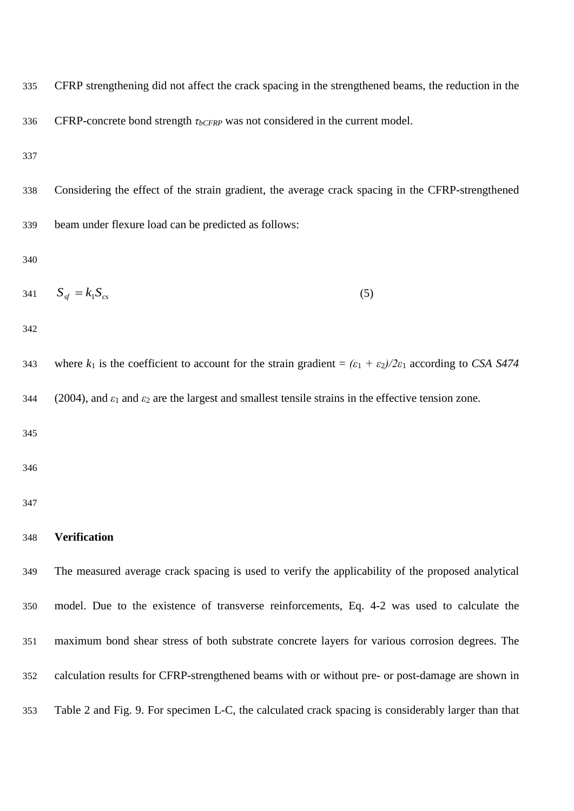CFRP strengthening did not affect the crack spacing in the strengthened beams, the reduction in the

336 CFRP-concrete bond strength *τ<sub>bCFRP</sub>* was not considered in the current model.

 Considering the effect of the strain gradient, the average crack spacing in the CFRP-strengthened beam under flexure load can be predicted as follows:

$$
341 \tSsf = k1Scs
$$
\t(5)

343 where  $k_1$  is the coefficient to account for the strain gradient =  $(\varepsilon_1 + \varepsilon_2)/2\varepsilon_1$  according to *CSA S474* 344 (2004), and  $\varepsilon_1$  and  $\varepsilon_2$  are the largest and smallest tensile strains in the effective tension zone.

### **Verification**

 The measured average crack spacing is used to verify the applicability of the proposed analytical model. Due to the existence of transverse reinforcements, Eq. 4-2 was used to calculate the maximum bond shear stress of both substrate concrete layers for various corrosion degrees. The calculation results for CFRP-strengthened beams with or without pre- or post-damage are shown in Table 2 and Fig. 9. For specimen L-C, the calculated crack spacing is considerably larger than that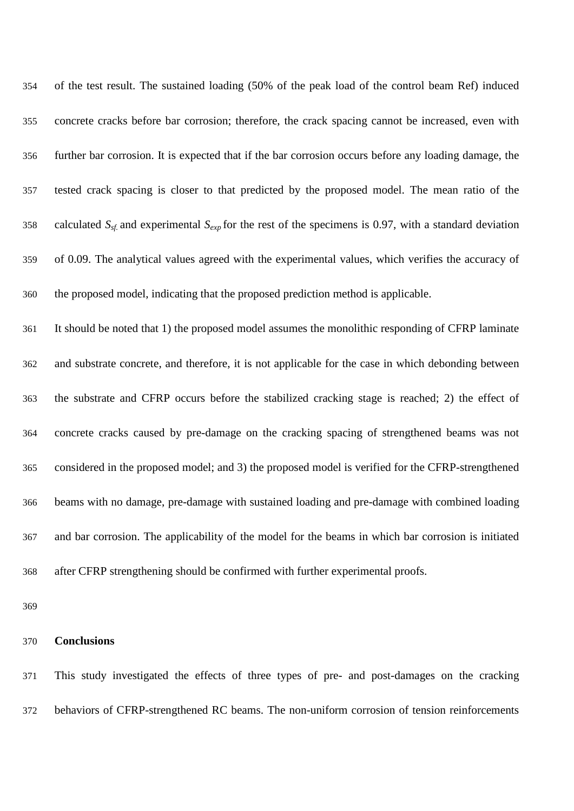| 354 | of the test result. The sustained loading (50% of the peak load of the control beam Ref) induced                |
|-----|-----------------------------------------------------------------------------------------------------------------|
| 355 | concrete cracks before bar corrosion; therefore, the crack spacing cannot be increased, even with               |
| 356 | further bar corrosion. It is expected that if the bar corrosion occurs before any loading damage, the           |
| 357 | tested crack spacing is closer to that predicted by the proposed model. The mean ratio of the                   |
| 358 | calculated $S_{sf}$ and experimental $S_{exp}$ for the rest of the specimens is 0.97, with a standard deviation |
| 359 | of 0.09. The analytical values agreed with the experimental values, which verifies the accuracy of              |
| 360 | the proposed model, indicating that the proposed prediction method is applicable.                               |
| 361 | It should be noted that 1) the proposed model assumes the monolithic responding of CFRP laminate                |
| 362 | and substrate concrete, and therefore, it is not applicable for the case in which debonding between             |
| 363 | the substrate and CFRP occurs before the stabilized cracking stage is reached; 2) the effect of                 |
| 364 | concrete cracks caused by pre-damage on the cracking spacing of strengthened beams was not                      |
| 365 | considered in the proposed model; and 3) the proposed model is verified for the CFRP-strengthened               |
| 366 | beams with no damage, pre-damage with sustained loading and pre-damage with combined loading                    |
| 367 | and bar corrosion. The applicability of the model for the beams in which bar corrosion is initiated             |
| 368 | after CFRP strengthening should be confirmed with further experimental proofs.                                  |

# **Conclusions**

 This study investigated the effects of three types of pre- and post-damages on the cracking behaviors of CFRP-strengthened RC beams. The non-uniform corrosion of tension reinforcements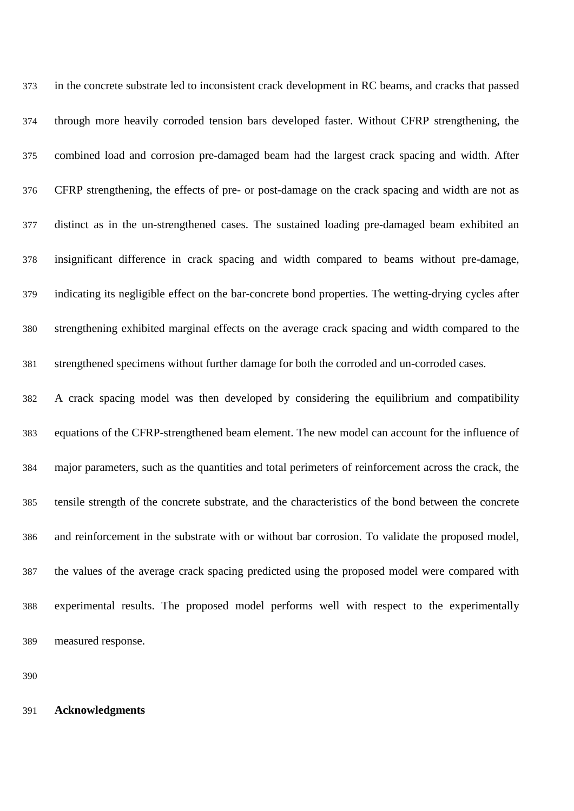in the concrete substrate led to inconsistent crack development in RC beams, and cracks that passed through more heavily corroded tension bars developed faster. Without CFRP strengthening, the combined load and corrosion pre-damaged beam had the largest crack spacing and width. After CFRP strengthening, the effects of pre- or post-damage on the crack spacing and width are not as distinct as in the un-strengthened cases. The sustained loading pre-damaged beam exhibited an insignificant difference in crack spacing and width compared to beams without pre-damage, indicating its negligible effect on the bar-concrete bond properties. The wetting-drying cycles after strengthening exhibited marginal effects on the average crack spacing and width compared to the strengthened specimens without further damage for both the corroded and un-corroded cases. A crack spacing model was then developed by considering the equilibrium and compatibility equations of the CFRP-strengthened beam element. The new model can account for the influence of major parameters, such as the quantities and total perimeters of reinforcement across the crack, the tensile strength of the concrete substrate, and the characteristics of the bond between the concrete and reinforcement in the substrate with or without bar corrosion. To validate the proposed model, the values of the average crack spacing predicted using the proposed model were compared with experimental results. The proposed model performs well with respect to the experimentally measured response.

#### **Acknowledgments**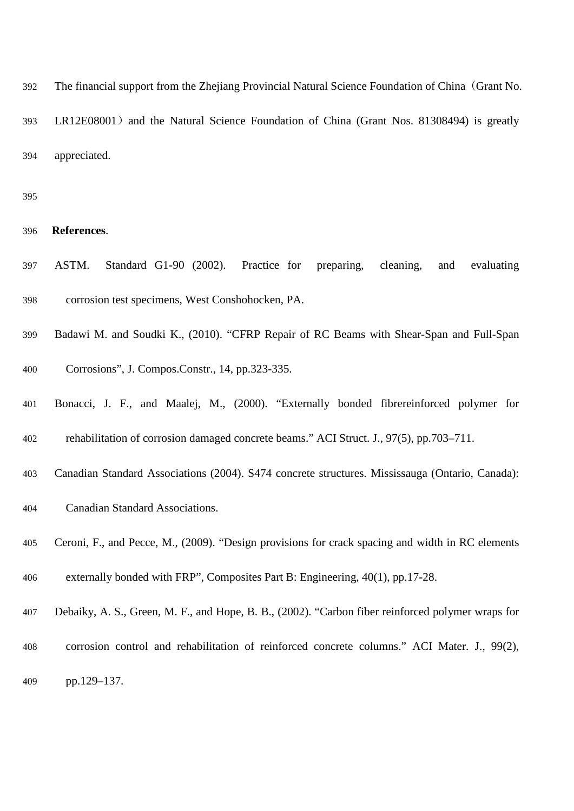The financial support from the Zhejiang Provincial Natural Science Foundation of China(Grant No. 393 LR12E08001) and the Natural Science Foundation of China (Grant Nos. 81308494) is greatly appreciated.

- **References**.
- ASTM. Standard G1-90 (2002). Practice for preparing, cleaning, and evaluating corrosion test specimens, West Conshohocken, PA.
- Badawi M. and Soudki K., (2010). "CFRP Repair of RC Beams with Shear-Span and Full-Span
- Corrosions", J. Compos.Constr., 14, pp.323-335.
- Bonacci, J. F., and Maalej, M., (2000). "Externally bonded fibrereinforced polymer for rehabilitation of corrosion damaged concrete beams." ACI Struct. J., 97(5), pp.703–711.
- Canadian Standard Associations (2004). S474 concrete structures. Mississauga (Ontario, Canada):
- Canadian Standard Associations.
- Ceroni, F., and Pecce, M., (2009). "Design provisions for crack spacing and width in RC elements
- externally bonded with FRP", Composites Part B: Engineering, 40(1), pp.17-28.
- Debaiky, A. S., Green, M. F., and Hope, B. B., (2002). "Carbon fiber reinforced polymer wraps for
- corrosion control and rehabilitation of reinforced concrete columns." ACI Mater. J., 99(2),
- pp.129–137.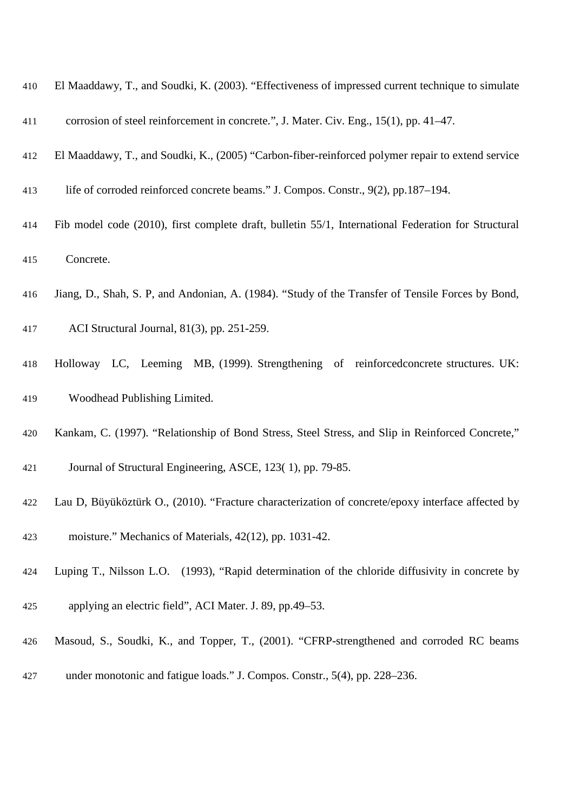| 410 | El Maaddawy, T., and Soudki, K. (2003). "Effectiveness of impressed current technique to simulate   |
|-----|-----------------------------------------------------------------------------------------------------|
| 411 | corrosion of steel reinforcement in concrete.", J. Mater. Civ. Eng., 15(1), pp. 41–47.              |
| 412 | El Maaddawy, T., and Soudki, K., (2005) "Carbon-fiber-reinforced polymer repair to extend service   |
| 413 | life of corroded reinforced concrete beams." J. Compos. Constr., 9(2), pp.187–194.                  |
| 414 | Fib model code (2010), first complete draft, bulletin 55/1, International Federation for Structural |
| 415 | Concrete.                                                                                           |

- Jiang, D., Shah, S. P, and Andonian, A. (1984). "Study of the Transfer of Tensile Forces by Bond,
- ACI Structural Journal, 81(3), pp. 251-259.
- Holloway LC, Leeming MB, (1999). Strengthening of reinforcedconcrete structures. UK: Woodhead Publishing Limited.
- Kankam, C. (1997). "Relationship of Bond Stress, Steel Stress, and Slip in Reinforced Concrete,"
- Journal of Structural Engineering, ASCE, 123( 1), pp. 79-85.
- Lau D, Büyüköztürk O., (2010). "Fracture characterization of concrete/epoxy interface affected by
- moisture." Mechanics of Materials, 42(12), pp. 1031-42.
- Luping T., Nilsson L.O. (1993), "Rapid determination of the chloride diffusivity in concrete by
- applying an electric field", ACI Mater. J. 89, pp.49–53.
- Masoud, S., Soudki, K., and Topper, T., (2001). "CFRP-strengthened and corroded RC beams
- under monotonic and fatigue loads." J. Compos. Constr., 5(4), pp. 228–236.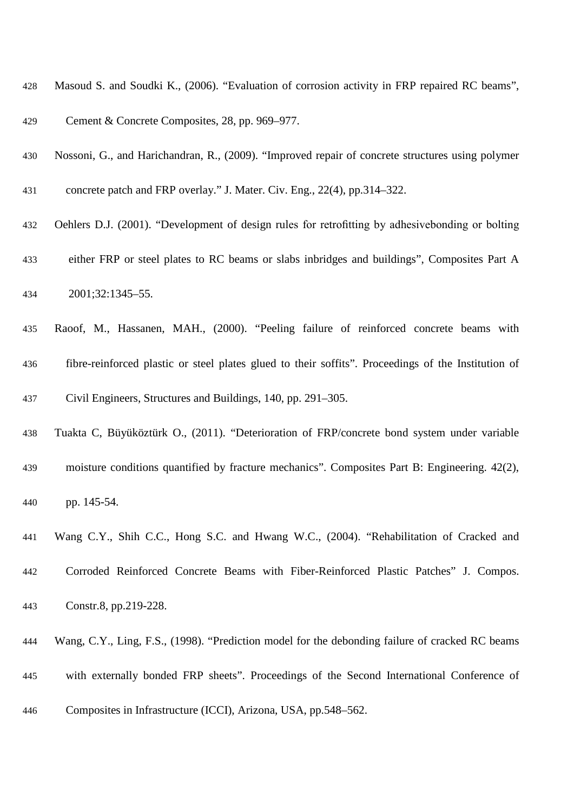- Masoud S. and Soudki K., (2006). "Evaluation of corrosion activity in FRP repaired RC beams",
- Cement & Concrete Composites, 28, pp. 969–977.
- Nossoni, G., and Harichandran, R., (2009). "Improved repair of concrete structures using polymer
- concrete patch and FRP overlay." J. Mater. Civ. Eng., 22(4), pp.314–322.
- Oehlers D.J. (2001). "Development of design rules for retrofitting by adhesivebonding or bolting
- either FRP or steel plates to RC beams or slabs inbridges and buildings", Composites Part A
- 2001;32:1345–55.
- Raoof, M., Hassanen, MAH., (2000). "Peeling failure of reinforced concrete beams with fibre-reinforced plastic or steel plates glued to their soffits". Proceedings of the Institution of Civil Engineers, Structures and Buildings, 140, pp. 291–305.
- Tuakta C, Büyüköztürk O., (2011). "Deterioration of FRP/concrete bond system under variable
- moisture conditions quantified by fracture mechanics". Composites Part B: Engineering. 42(2), pp. 145-54.
- Wang C.Y., Shih C.C., Hong S.C. and Hwang W.C., (2004). "Rehabilitation of Cracked and
- Corroded Reinforced Concrete Beams with Fiber-Reinforced Plastic Patches" J. Compos. Constr.8, pp.219-228.
- - Wang, C.Y., Ling, F.S., (1998). "Prediction model for the debonding failure of cracked RC beams
	- with externally bonded FRP sheets". Proceedings of the Second International Conference of
	- Composites in Infrastructure (ICCI), Arizona, USA, pp.548–562.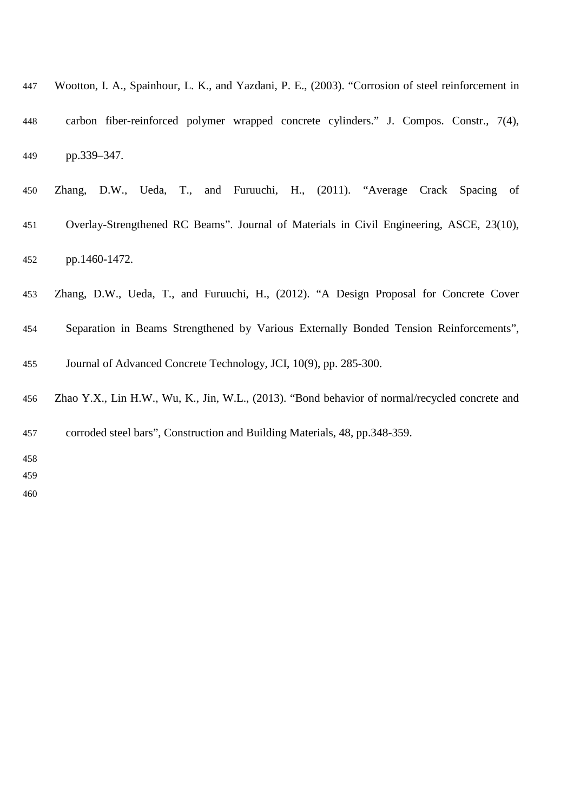| 447 | Wootton, I. A., Spainhour, L. K., and Yazdani, P. E., (2003). "Corrosion of steel reinforcement in |
|-----|----------------------------------------------------------------------------------------------------|
| 448 | carbon fiber-reinforced polymer wrapped concrete cylinders." J. Compos. Constr., 7(4),             |
| 449 | pp.339–347.                                                                                        |

| 450 |               |  |  |  | Zhang, D.W., Ueda, T., and Furuuchi, H., (2011). "Average Crack Spacing of               |  |  |
|-----|---------------|--|--|--|------------------------------------------------------------------------------------------|--|--|
| 451 |               |  |  |  | Overlay-Strengthened RC Beams". Journal of Materials in Civil Engineering, ASCE, 23(10), |  |  |
| 452 | pp.1460-1472. |  |  |  |                                                                                          |  |  |

- Zhang, D.W., Ueda, T., and Furuuchi, H., (2012). "A Design Proposal for Concrete Cover
- Separation in Beams Strengthened by Various Externally Bonded Tension Reinforcements",
- Journal of Advanced Concrete Technology, JCI, 10(9), pp. 285-300.
- Zhao Y.X., Lin H.W., Wu, K., Jin, W.L., (2013). "Bond behavior of normal/recycled concrete and

corroded steel bars", Construction and Building Materials, 48, pp.348-359.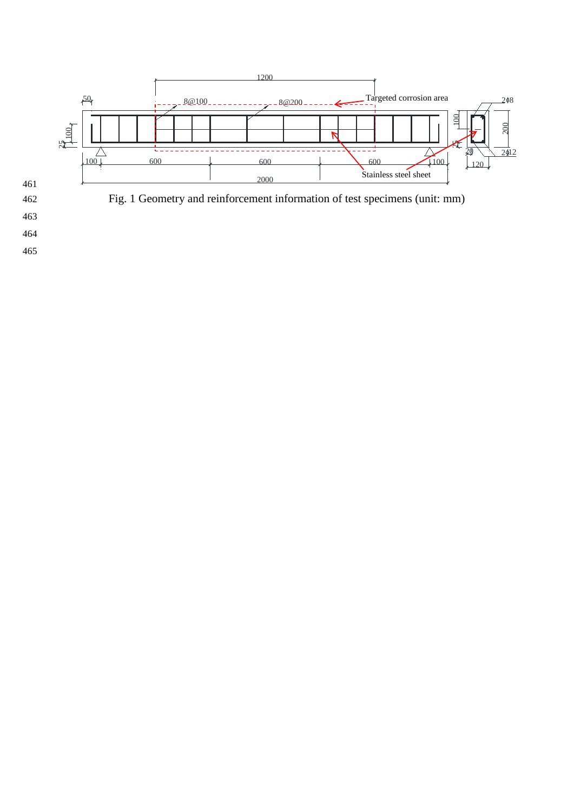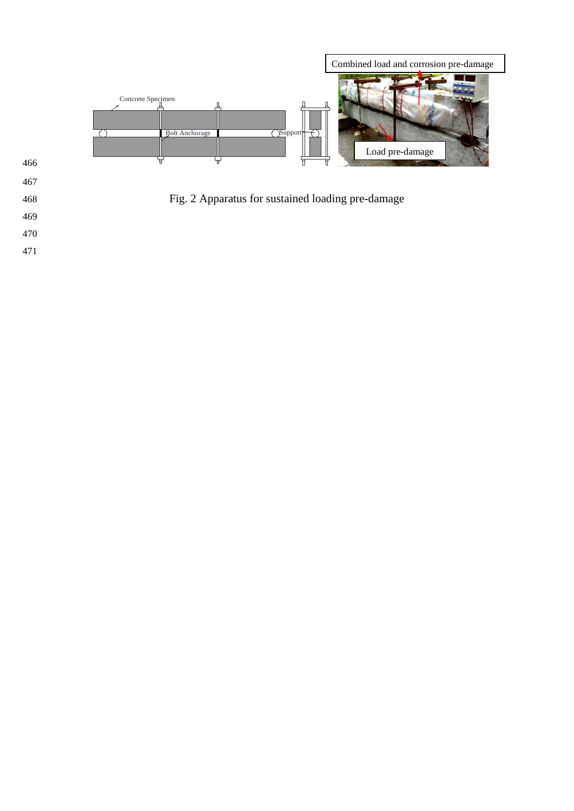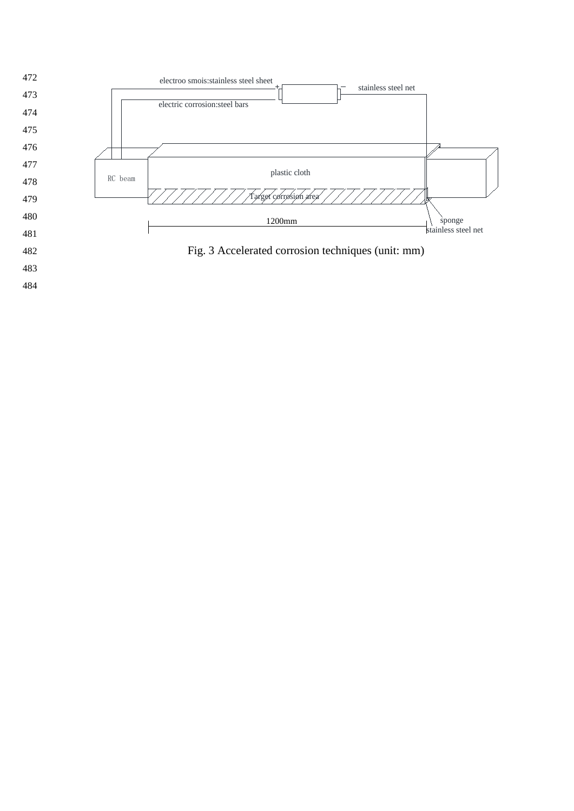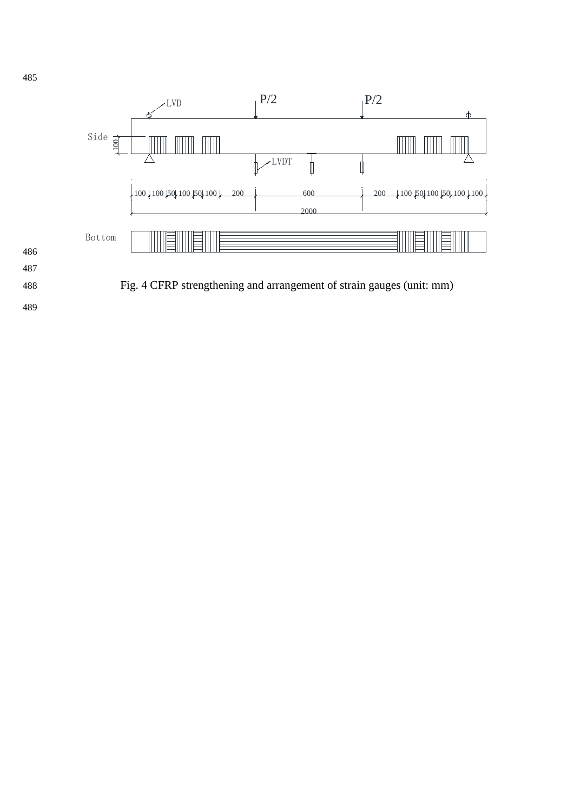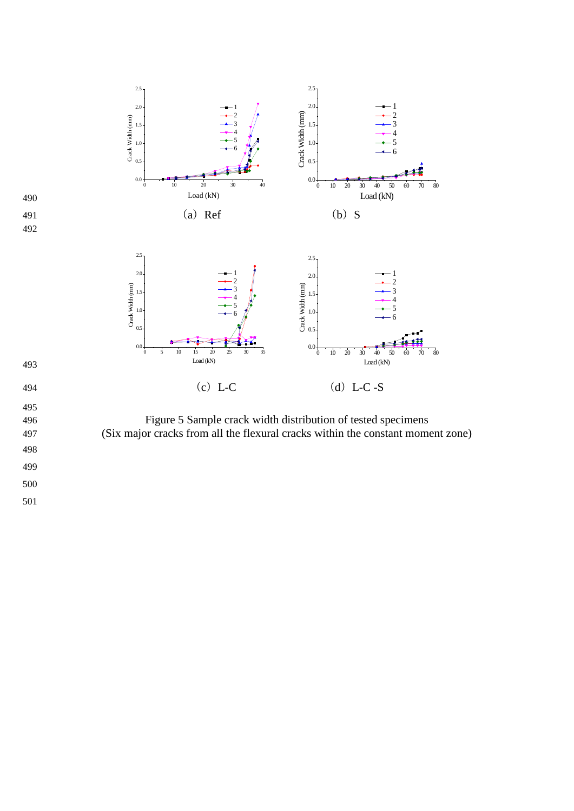

496 Figure 5 Sample crack width distribution of tested specimens 497 (Six major cracks from all the flexural cracks within the constant moment zone)

- 498 499
- 500 501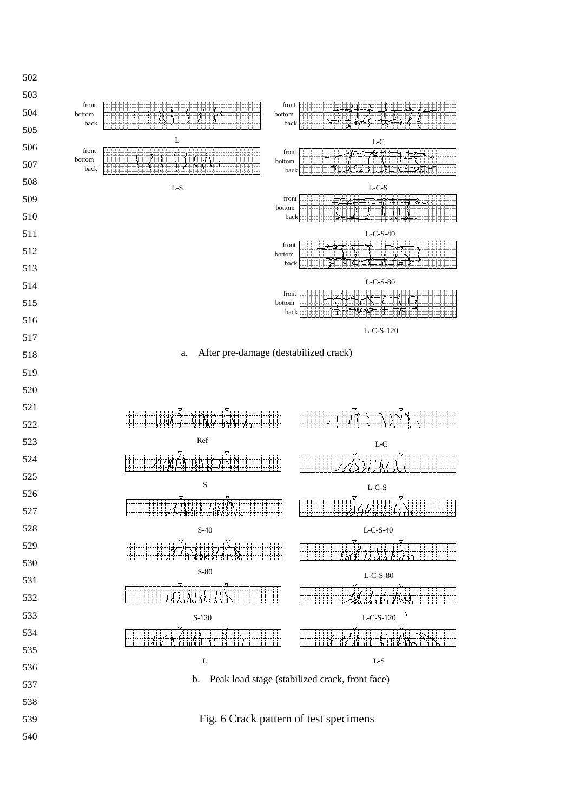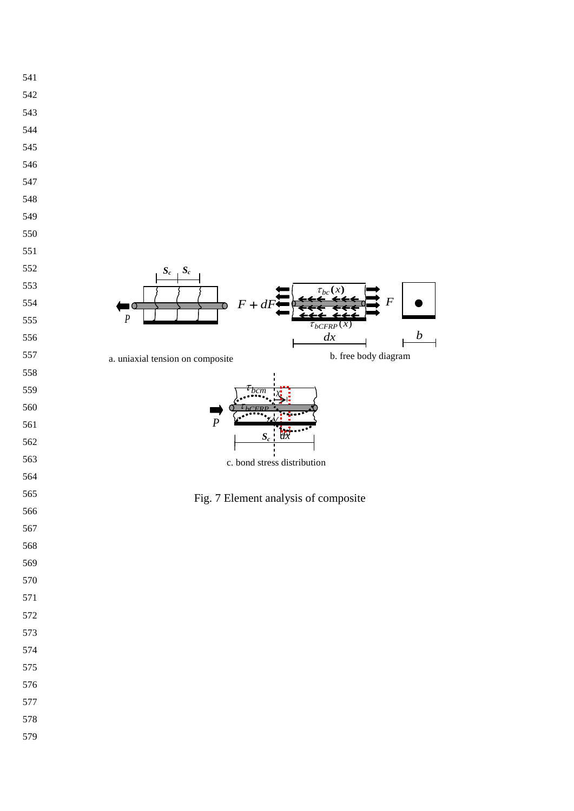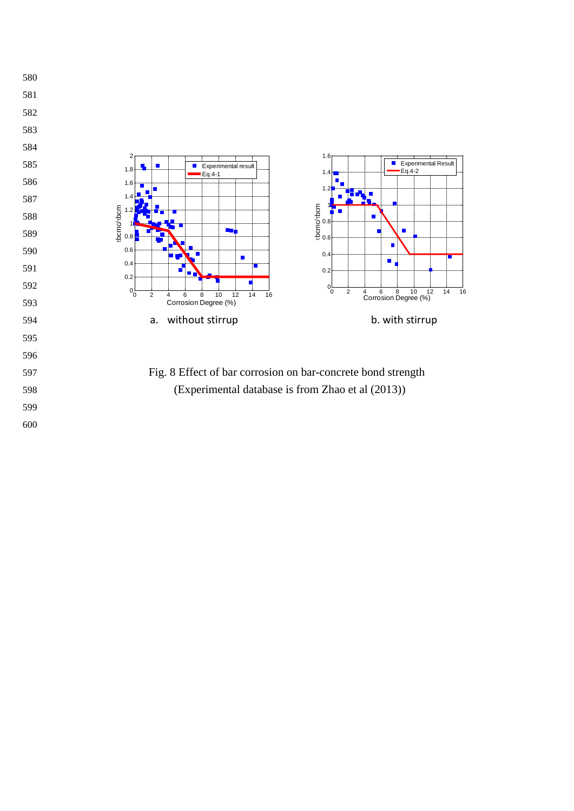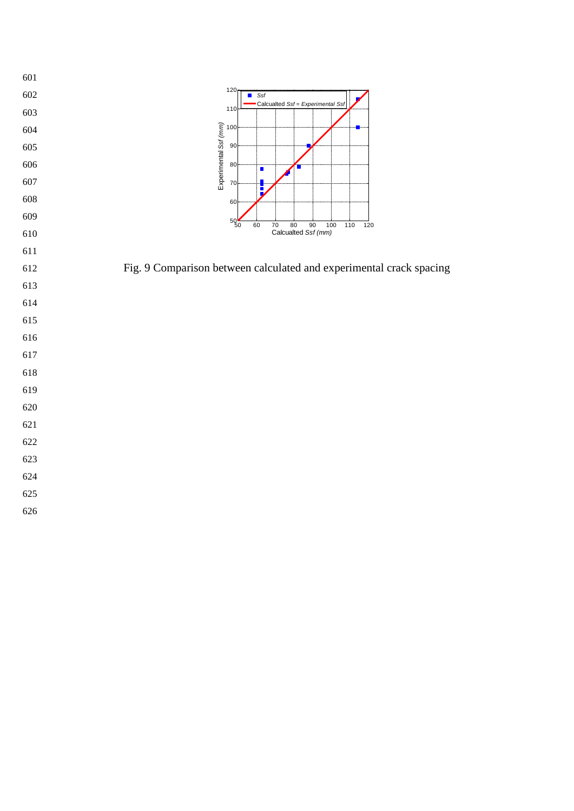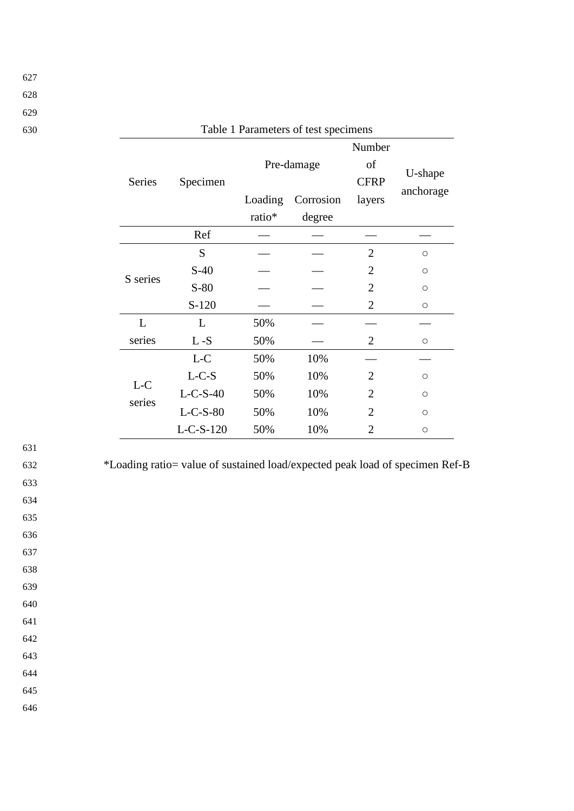| 627 |  |
|-----|--|
| 628 |  |

| 630 |                 |                |         | Table 1 Parameters of test specimens |                             |            |  |
|-----|-----------------|----------------|---------|--------------------------------------|-----------------------------|------------|--|
|     | Series          | Specimen       |         | Pre-damage                           | Number<br>of<br><b>CFRP</b> | U-shape    |  |
|     |                 |                | Loading | Corrosion                            | layers                      | anchorage  |  |
|     |                 |                | ratio*  | degree                               |                             |            |  |
|     |                 | Ref            |         |                                      |                             |            |  |
|     |                 | S              |         |                                      | $\overline{2}$              | $\bigcirc$ |  |
|     | S series        | $S-40$         |         |                                      | $\overline{2}$              | $\bigcirc$ |  |
|     |                 | $S-80$         |         |                                      | $\overline{2}$              | $\circ$    |  |
|     |                 | $S-120$        |         |                                      | $\overline{2}$              | $\bigcirc$ |  |
|     | L               | L              | 50%     |                                      |                             |            |  |
|     | series          | $\mathbf L$ -S | 50%     |                                      | $\mathfrak{2}$              | $\bigcirc$ |  |
|     |                 | $L-C$          | 50%     | 10%                                  |                             |            |  |
|     |                 | $L-C-S$        | 50%     | 10%                                  | $\overline{2}$              | $\bigcirc$ |  |
|     | $L-C$<br>series | $L-C-S-40$     | 50%     | 10%                                  | $\overline{2}$              | $\circ$    |  |
|     |                 | $L-C-S-80$     | 50%     | 10%                                  | $\overline{2}$              | $\bigcirc$ |  |
|     |                 | $L-C-S-120$    | 50%     | 10%                                  | $\overline{2}$              | $\circ$    |  |

631

632 \*Loading ratio= value of sustained load/expected peak load of specimen Ref-B